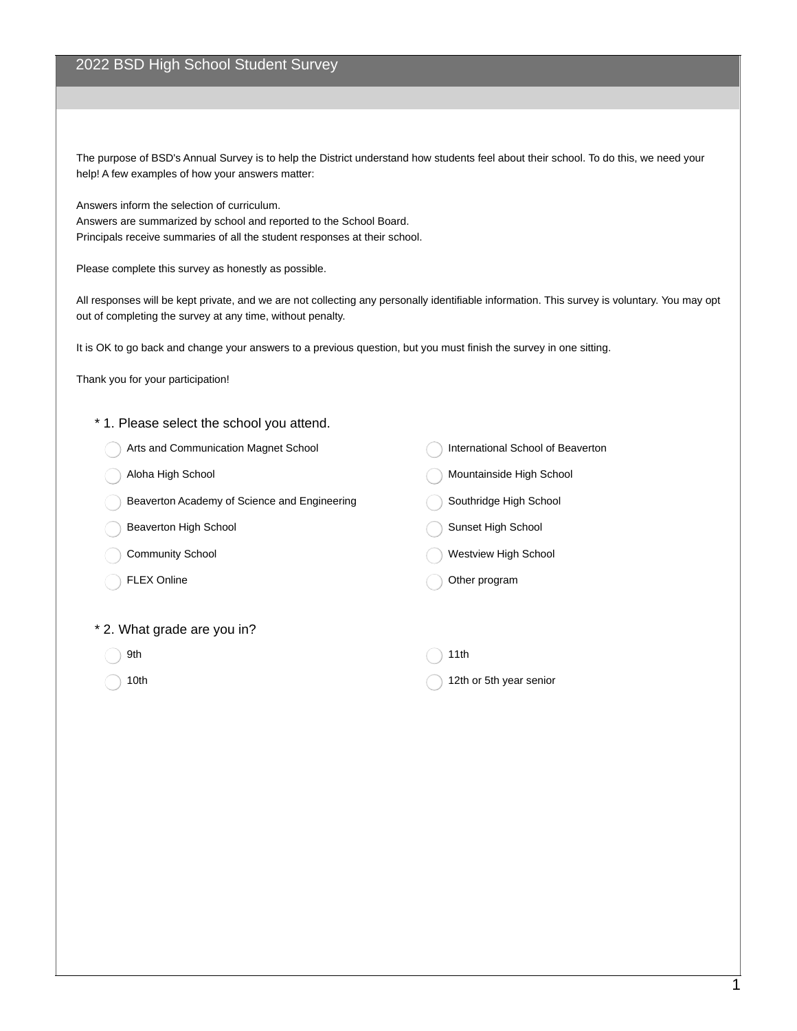# 2022 BSD High School Student Survey

The purpose of BSD's Annual Survey is to help the District understand how students feel about their school. To do this, we need your help! A few examples of how your answers matter:

Answers inform the selection of curriculum. Answers are summarized by school and reported to the School Board. Principals receive summaries of all the student responses at their school.

Please complete this survey as honestly as possible.

All responses will be kept private, and we are not collecting any personally identifiable information. This survey is voluntary. You may opt out of completing the survey at any time, without penalty.

It is OK to go back and change your answers to a previous question, but you must finish the survey in one sitting.

Thank you for your participation!

- \* 1. Please select the school you attend.
	- Arts and Communication Magnet School
	- Aloha High School
	- Beaverton Academy of Science and Engineering
	- Beaverton High School
	- Community School
	- FLEX Online

\* 2. What grade are you in?

- 9th
- 10th

International School of Beaverton

- Mountainside High School
- Southridge High School
- Sunset High School
- Westview High School

#### Other program

11th

12th or 5th year senior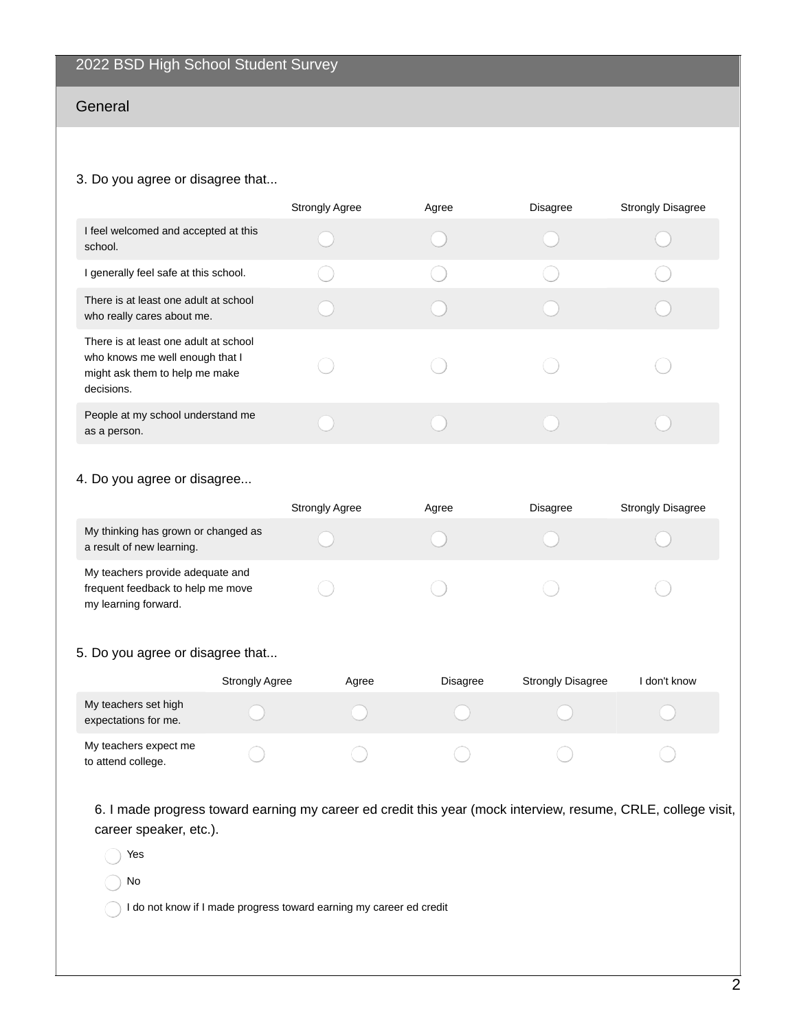# General

#### 3. Do you agree or disagree that...

|                                                                                                                          | <b>Strongly Agree</b> | Agree | <b>Disagree</b> | <b>Strongly Disagree</b> |
|--------------------------------------------------------------------------------------------------------------------------|-----------------------|-------|-----------------|--------------------------|
| I feel welcomed and accepted at this<br>school.                                                                          |                       |       |                 |                          |
| I generally feel safe at this school.                                                                                    |                       |       |                 |                          |
| There is at least one adult at school<br>who really cares about me.                                                      |                       |       |                 |                          |
| There is at least one adult at school<br>who knows me well enough that I<br>might ask them to help me make<br>decisions. |                       |       |                 |                          |
| People at my school understand me<br>as a person.                                                                        |                       |       |                 |                          |

### 4. Do you agree or disagree...

|                                                                                               | <b>Strongly Agree</b> | Agree | <b>Disagree</b> | <b>Strongly Disagree</b> |
|-----------------------------------------------------------------------------------------------|-----------------------|-------|-----------------|--------------------------|
| My thinking has grown or changed as<br>a result of new learning.                              |                       |       |                 |                          |
| My teachers provide adequate and<br>frequent feedback to help me move<br>my learning forward. |                       |       |                 |                          |

### 5. Do you agree or disagree that...

|                                              | <b>Strongly Agree</b> | Agree | Disagree | <b>Strongly Disagree</b> | l don't know |
|----------------------------------------------|-----------------------|-------|----------|--------------------------|--------------|
| My teachers set high<br>expectations for me. |                       |       |          |                          |              |
| My teachers expect me<br>to attend college.  |                       |       |          |                          |              |

6. I made progress toward earning my career ed credit this year (mock interview, resume, CRLE, college visit, career speaker, etc.).

Yes

No

I do not know if I made progress toward earning my career ed credit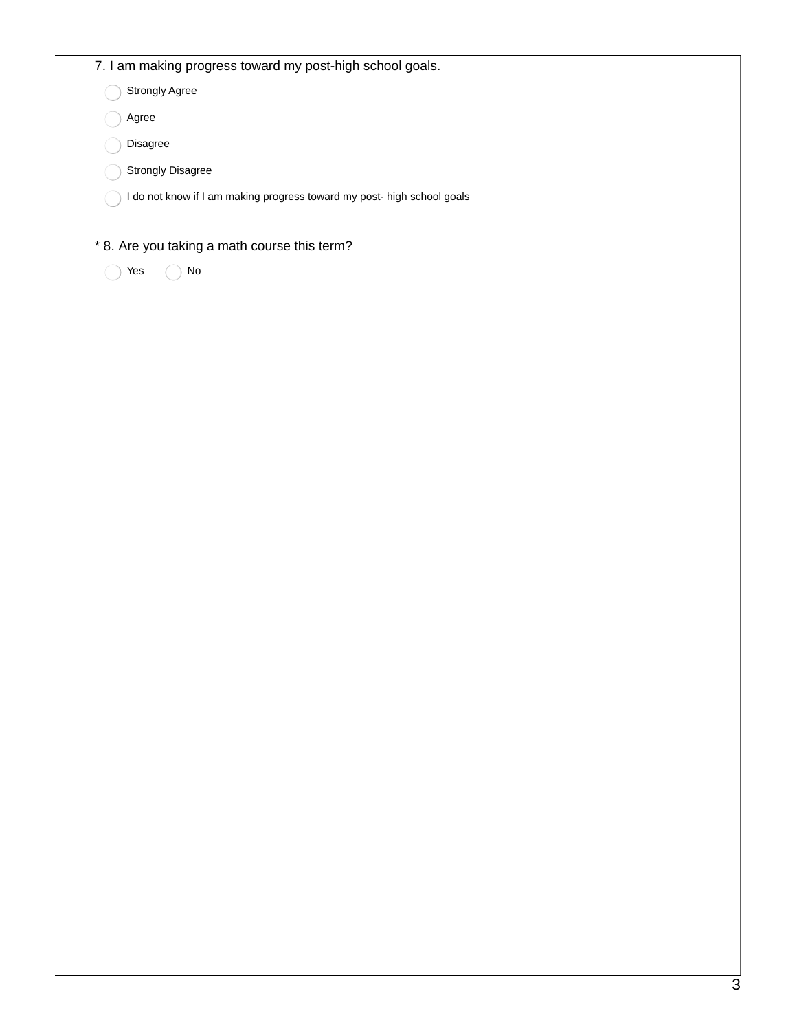|          | 7. I am making progress toward my post-high school goals.               |  |  |
|----------|-------------------------------------------------------------------------|--|--|
|          | Strongly Agree                                                          |  |  |
| Agree    |                                                                         |  |  |
| Disagree |                                                                         |  |  |
|          | Strongly Disagree                                                       |  |  |
|          | I do not know if I am making progress toward my post- high school goals |  |  |
|          |                                                                         |  |  |
|          | * 8. Are you taking a math course this term?<br>No                      |  |  |
| Yes      |                                                                         |  |  |
|          |                                                                         |  |  |
|          |                                                                         |  |  |
|          |                                                                         |  |  |
|          |                                                                         |  |  |
|          |                                                                         |  |  |
|          |                                                                         |  |  |
|          |                                                                         |  |  |
|          |                                                                         |  |  |
|          |                                                                         |  |  |
|          |                                                                         |  |  |
|          |                                                                         |  |  |
|          |                                                                         |  |  |
|          |                                                                         |  |  |
|          |                                                                         |  |  |
|          |                                                                         |  |  |
|          |                                                                         |  |  |
|          |                                                                         |  |  |
|          |                                                                         |  |  |
|          |                                                                         |  |  |
|          |                                                                         |  |  |
|          |                                                                         |  |  |
|          |                                                                         |  |  |
|          |                                                                         |  |  |
|          |                                                                         |  |  |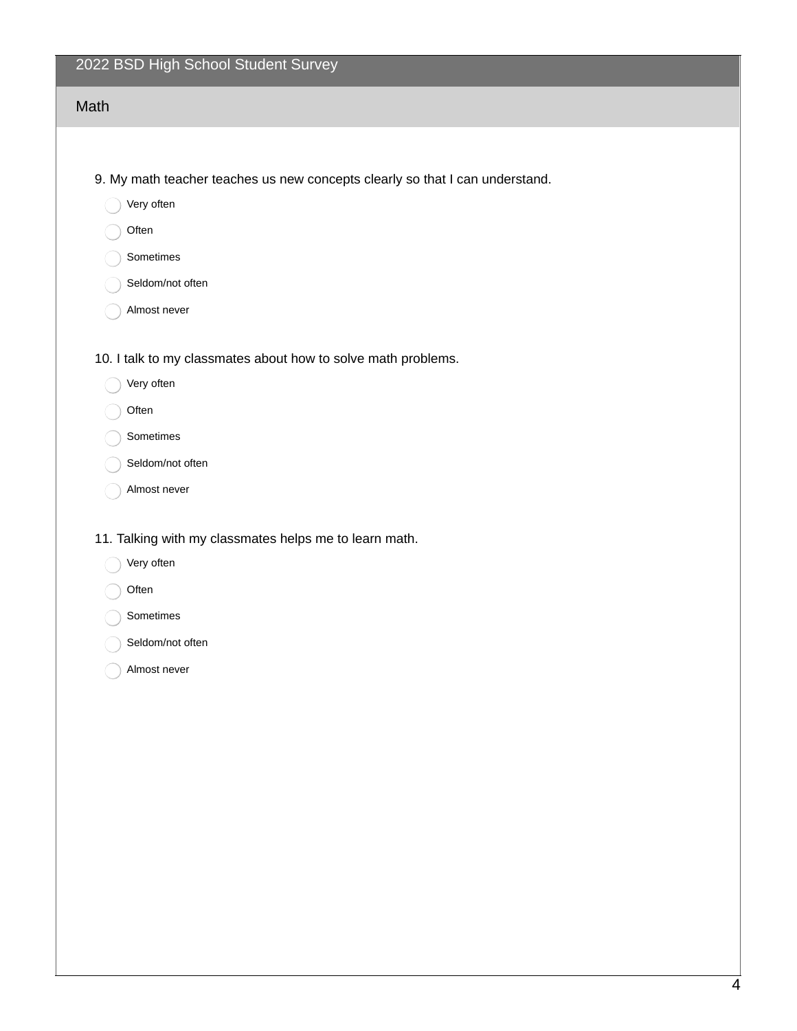# 2022 BSD High School Student Survey

| Math                                                                                                                                                 |
|------------------------------------------------------------------------------------------------------------------------------------------------------|
|                                                                                                                                                      |
| 9. My math teacher teaches us new concepts clearly so that I can understand.<br>Very often<br>Often<br>Sometimes<br>Seldom/not often<br>Almost never |
| 10. I talk to my classmates about how to solve math problems.<br>Very often<br>Often<br>Sometimes<br>Seldom/not often<br>Almost never                |
| 11. Talking with my classmates helps me to learn math.<br>Very often<br>Often<br>Sometimes                                                           |
| Seldom/not often                                                                                                                                     |

Almost never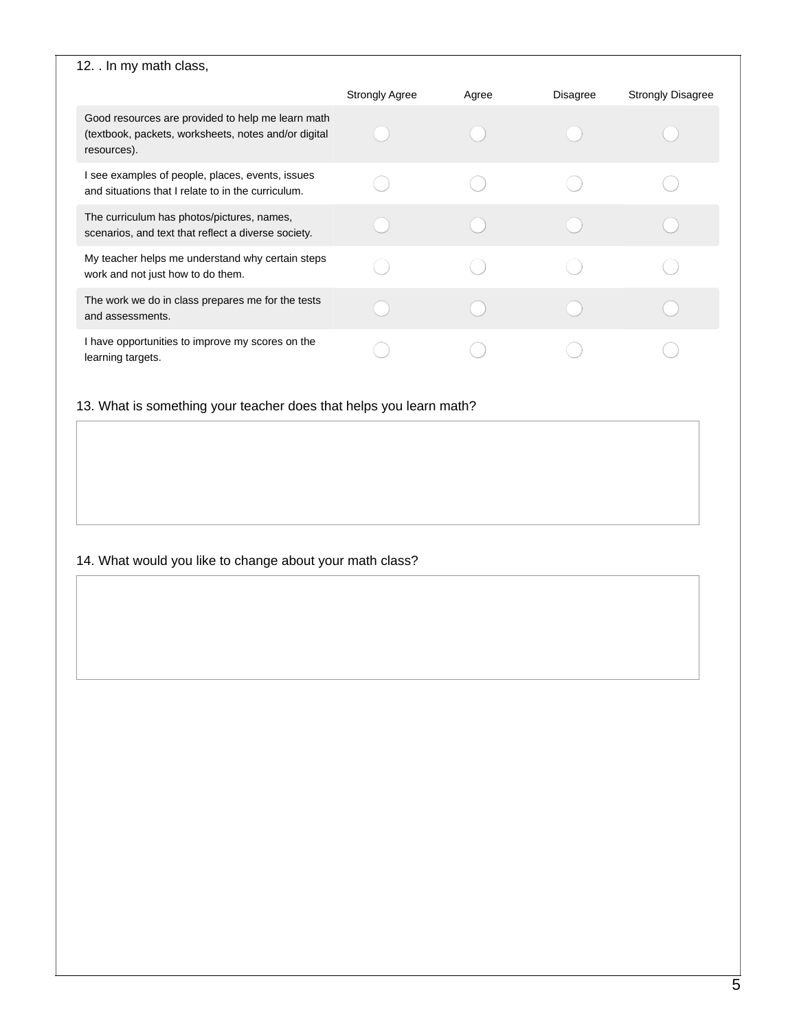| 12. In my math class,                                                                                                    |                       |       |                 |                          |
|--------------------------------------------------------------------------------------------------------------------------|-----------------------|-------|-----------------|--------------------------|
|                                                                                                                          | <b>Strongly Agree</b> | Agree | <b>Disagree</b> | <b>Strongly Disagree</b> |
| Good resources are provided to help me learn math<br>(textbook, packets, worksheets, notes and/or digital<br>resources). |                       |       |                 |                          |
| I see examples of people, places, events, issues<br>and situations that I relate to in the curriculum.                   |                       |       |                 |                          |
| The curriculum has photos/pictures, names,<br>scenarios, and text that reflect a diverse society.                        |                       |       |                 |                          |
| My teacher helps me understand why certain steps<br>work and not just how to do them.                                    |                       |       |                 |                          |
| The work we do in class prepares me for the tests<br>and assessments.                                                    |                       |       |                 |                          |
| I have opportunities to improve my scores on the<br>learning targets.                                                    |                       |       |                 |                          |

13. What is something your teacher does that helps you learn math?

# 14. What would you like to change about your math class?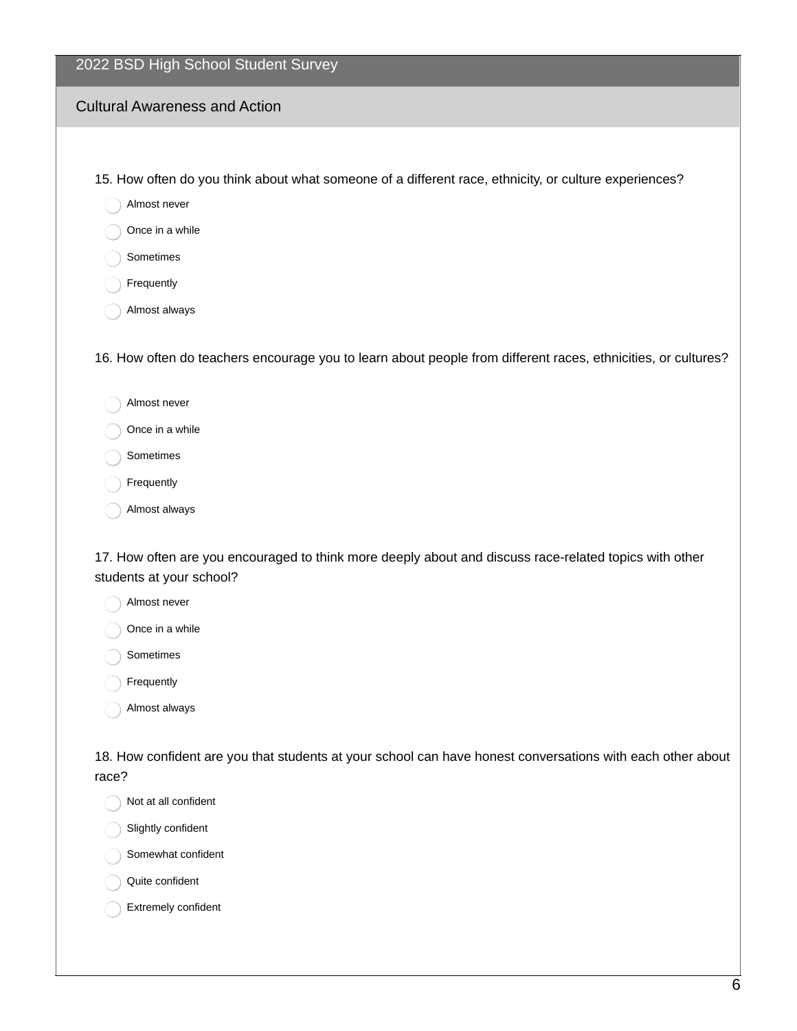| 2022 BSD High School Student Survey                                                                                                |
|------------------------------------------------------------------------------------------------------------------------------------|
| <b>Cultural Awareness and Action</b>                                                                                               |
|                                                                                                                                    |
| 15. How often do you think about what someone of a different race, ethnicity, or culture experiences?                              |
| Almost never                                                                                                                       |
| Once in a while                                                                                                                    |
| Sometimes                                                                                                                          |
| Frequently                                                                                                                         |
| Almost always                                                                                                                      |
| 16. How often do teachers encourage you to learn about people from different races, ethnicities, or cultures?                      |
| Almost never                                                                                                                       |
| Once in a while                                                                                                                    |
| Sometimes                                                                                                                          |
| Frequently                                                                                                                         |
| Almost always                                                                                                                      |
| 17. How often are you encouraged to think more deeply about and discuss race-related topics with other<br>students at your school? |
| Almost never<br>Once in a while                                                                                                    |

- Sometimes
- Frequently
- Almost always

18. How confident are you that students at your school can have honest conversations with each other about race?

Not at all confident

Slightly confident

Somewhat confident

Quite confident

Extremely confident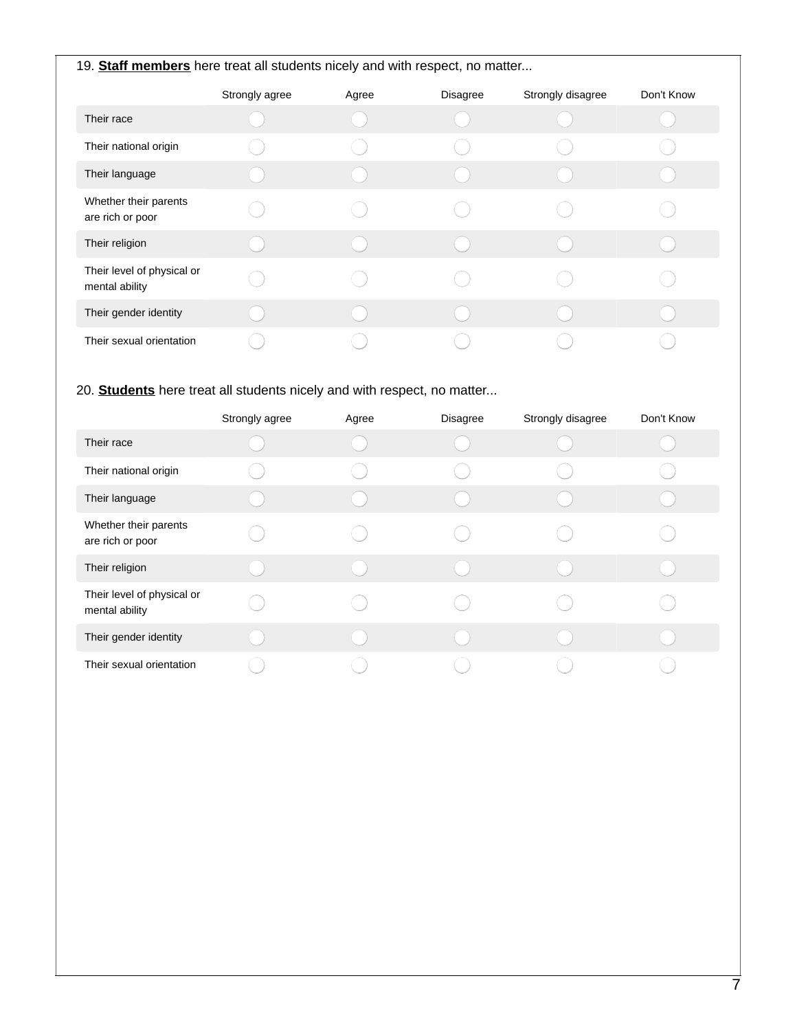| 19. Staff members here treat all students nicely and with respect, no matter |                |       |                 |                   |            |  |
|------------------------------------------------------------------------------|----------------|-------|-----------------|-------------------|------------|--|
|                                                                              | Strongly agree | Agree | <b>Disagree</b> | Strongly disagree | Don't Know |  |
| Their race                                                                   |                |       |                 |                   |            |  |
| Their national origin                                                        |                |       |                 |                   |            |  |
| Their language                                                               |                |       |                 |                   |            |  |
| Whether their parents<br>are rich or poor                                    |                |       |                 |                   |            |  |
| Their religion                                                               |                |       |                 |                   |            |  |
| Their level of physical or<br>mental ability                                 |                |       |                 |                   |            |  |
| Their gender identity                                                        |                |       |                 |                   |            |  |
| Their sexual orientation                                                     |                |       |                 |                   |            |  |

# 20. **Students** here treat all students nicely and with respect, no matter...

|                                              | Strongly agree | Agree | Disagree | Strongly disagree | Don't Know |
|----------------------------------------------|----------------|-------|----------|-------------------|------------|
| Their race                                   |                |       |          |                   |            |
| Their national origin                        |                |       |          |                   |            |
| Their language                               |                |       |          |                   |            |
| Whether their parents<br>are rich or poor    |                |       |          |                   |            |
| Their religion                               |                |       |          |                   |            |
| Their level of physical or<br>mental ability |                |       |          |                   |            |
| Their gender identity                        |                |       |          |                   |            |
| Their sexual orientation                     |                |       |          |                   |            |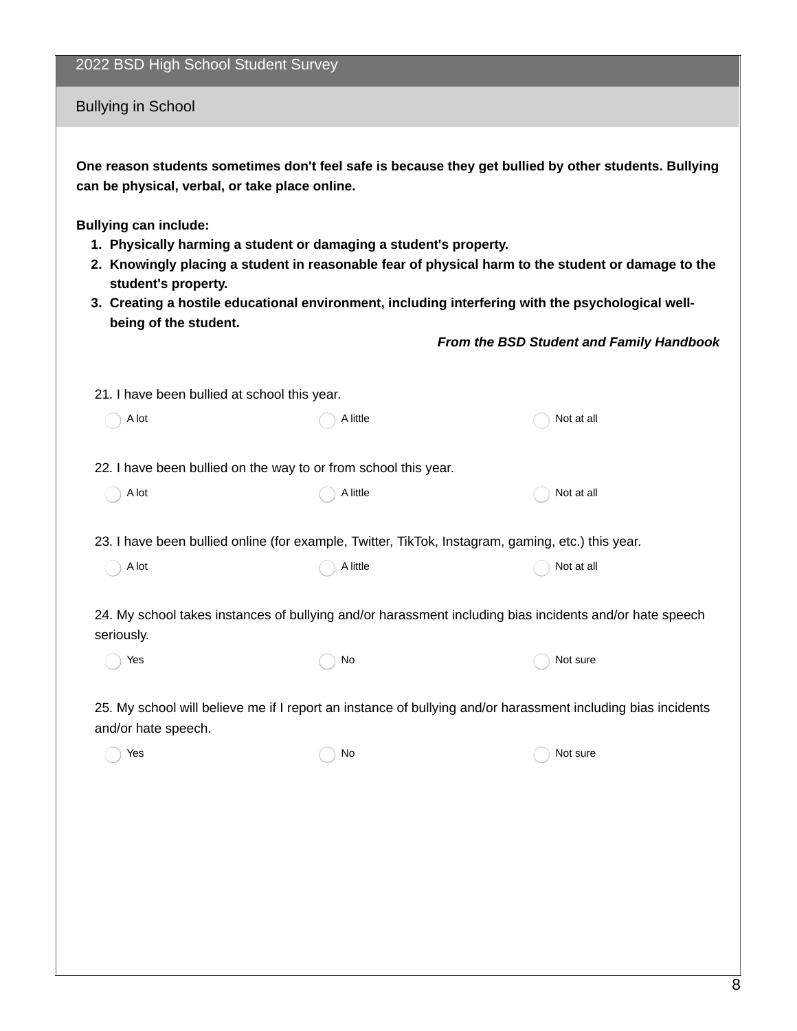| 2022 BSD High School Student Survey |  |  |  |  |  |  |
|-------------------------------------|--|--|--|--|--|--|
|-------------------------------------|--|--|--|--|--|--|

Bullying in School

**One reason students sometimes don't feel safe is because they get bullied by other students. Bullying can be physical, verbal, or take place online.**

**Bullying can include:**

- **1. Physically harming a student or damaging a student's property.**
- **2. Knowingly placing a student in reasonable fear of physical harm to the student or damage to the student's property.**
- **3. Creating a hostile educational environment, including interfering with the psychological wellbeing of the student.**

*From the BSD Student and Family Handbook*

| 21. I have been bullied at school this year.                                                                                        |          |            |  |  |  |
|-------------------------------------------------------------------------------------------------------------------------------------|----------|------------|--|--|--|
| A lot                                                                                                                               | A little | Not at all |  |  |  |
| 22. I have been bullied on the way to or from school this year.                                                                     |          |            |  |  |  |
| A lot                                                                                                                               | A little | Not at all |  |  |  |
|                                                                                                                                     |          |            |  |  |  |
| 23. I have been bullied online (for example, Twitter, TikTok, Instagram, gaming, etc.) this year.                                   |          |            |  |  |  |
| A lot                                                                                                                               | A little | Not at all |  |  |  |
|                                                                                                                                     |          |            |  |  |  |
| 24. My school takes instances of bullying and/or harassment including bias incidents and/or hate speech<br>seriously.               |          |            |  |  |  |
| Yes                                                                                                                                 | No       | Not sure   |  |  |  |
| 25. My school will believe me if I report an instance of bullying and/or harassment including bias incidents<br>and/or hate speech. |          |            |  |  |  |
|                                                                                                                                     |          |            |  |  |  |

 $\bigcap$  No  $\bigcap$  No  $\bigcap$  Not sure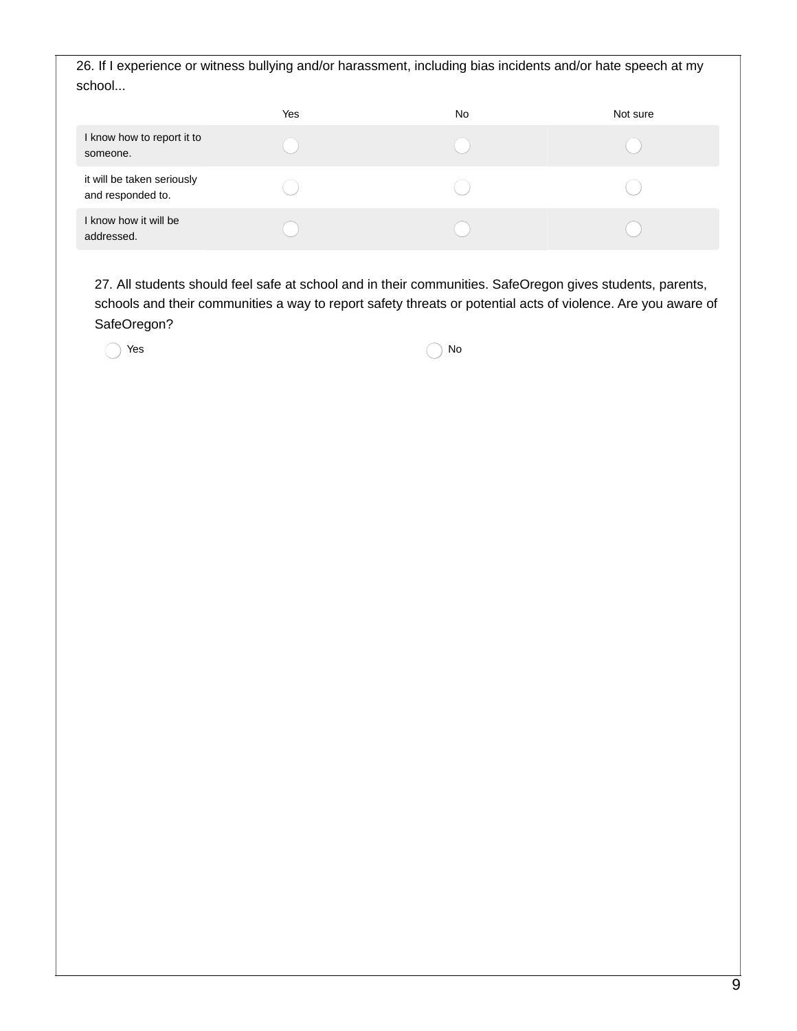26. If I experience or witness bullying and/or harassment, including bias incidents and/or hate speech at my school...

|                                                 | Yes | No | Not sure |
|-------------------------------------------------|-----|----|----------|
| I know how to report it to<br>someone.          |     |    |          |
| it will be taken seriously<br>and responded to. |     |    |          |
| I know how it will be<br>addressed.             |     |    |          |

27. All students should feel safe at school and in their communities. SafeOregon gives students, parents, schools and their communities a way to report safety threats or potential acts of violence. Are you aware of SafeOregon?

 $Yes$  No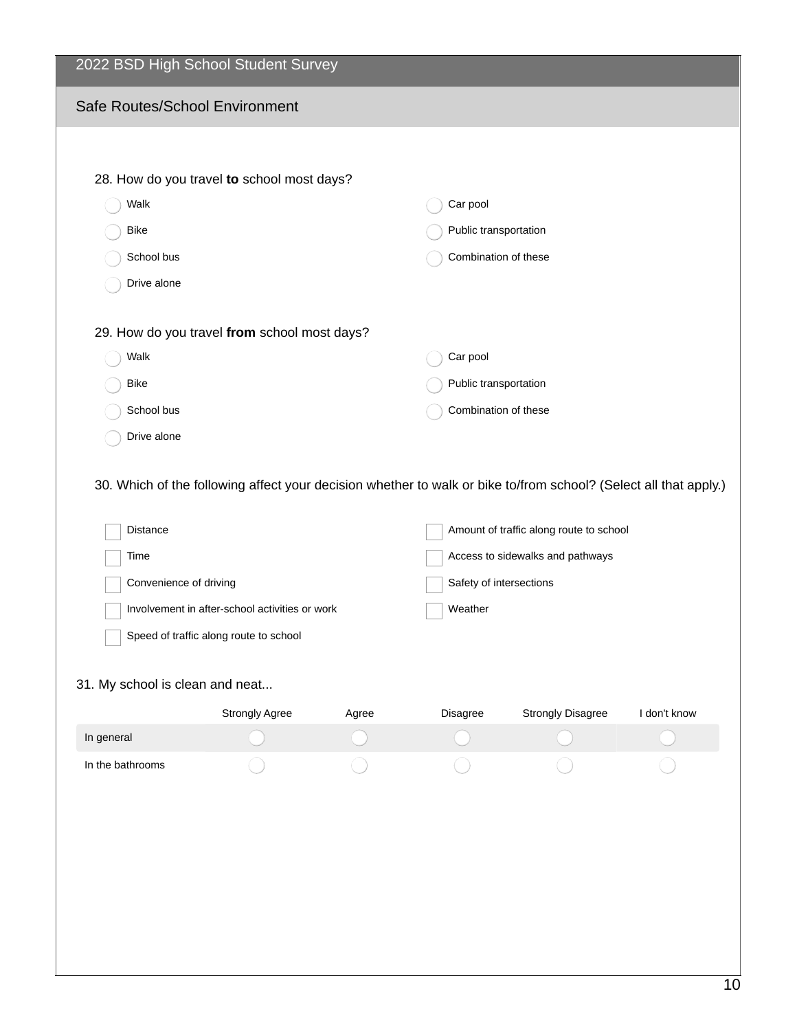| 2022 BSD High School Student Survey                                                                                                                                                                              |                                        |       |                                                                                                                   |                          |              |  |  |
|------------------------------------------------------------------------------------------------------------------------------------------------------------------------------------------------------------------|----------------------------------------|-------|-------------------------------------------------------------------------------------------------------------------|--------------------------|--------------|--|--|
| Safe Routes/School Environment                                                                                                                                                                                   |                                        |       |                                                                                                                   |                          |              |  |  |
|                                                                                                                                                                                                                  |                                        |       |                                                                                                                   |                          |              |  |  |
| 28. How do you travel to school most days?                                                                                                                                                                       |                                        |       |                                                                                                                   |                          |              |  |  |
| Walk                                                                                                                                                                                                             |                                        |       | Car pool                                                                                                          |                          |              |  |  |
| <b>Bike</b>                                                                                                                                                                                                      |                                        |       | Public transportation                                                                                             |                          |              |  |  |
| School bus                                                                                                                                                                                                       |                                        |       | Combination of these                                                                                              |                          |              |  |  |
| Drive alone                                                                                                                                                                                                      |                                        |       |                                                                                                                   |                          |              |  |  |
| 29. How do you travel from school most days?                                                                                                                                                                     |                                        |       |                                                                                                                   |                          |              |  |  |
| Walk                                                                                                                                                                                                             |                                        |       | Car pool                                                                                                          |                          |              |  |  |
| <b>Bike</b>                                                                                                                                                                                                      |                                        |       |                                                                                                                   | Public transportation    |              |  |  |
| School bus                                                                                                                                                                                                       |                                        |       | Combination of these                                                                                              |                          |              |  |  |
| Drive alone                                                                                                                                                                                                      |                                        |       |                                                                                                                   |                          |              |  |  |
| 30. Which of the following affect your decision whether to walk or bike to/from school? (Select all that apply.)<br>Distance<br>Time<br>Convenience of driving<br>Involvement in after-school activities or work |                                        |       | Amount of traffic along route to school<br>Access to sidewalks and pathways<br>Safety of intersections<br>Weather |                          |              |  |  |
|                                                                                                                                                                                                                  | Speed of traffic along route to school |       |                                                                                                                   |                          |              |  |  |
| 31. My school is clean and neat                                                                                                                                                                                  |                                        |       |                                                                                                                   |                          |              |  |  |
|                                                                                                                                                                                                                  | Strongly Agree                         | Agree | Disagree                                                                                                          | <b>Strongly Disagree</b> | I don't know |  |  |
| In general                                                                                                                                                                                                       |                                        |       |                                                                                                                   |                          |              |  |  |
| In the bathrooms                                                                                                                                                                                                 |                                        |       |                                                                                                                   |                          |              |  |  |
|                                                                                                                                                                                                                  |                                        |       |                                                                                                                   |                          |              |  |  |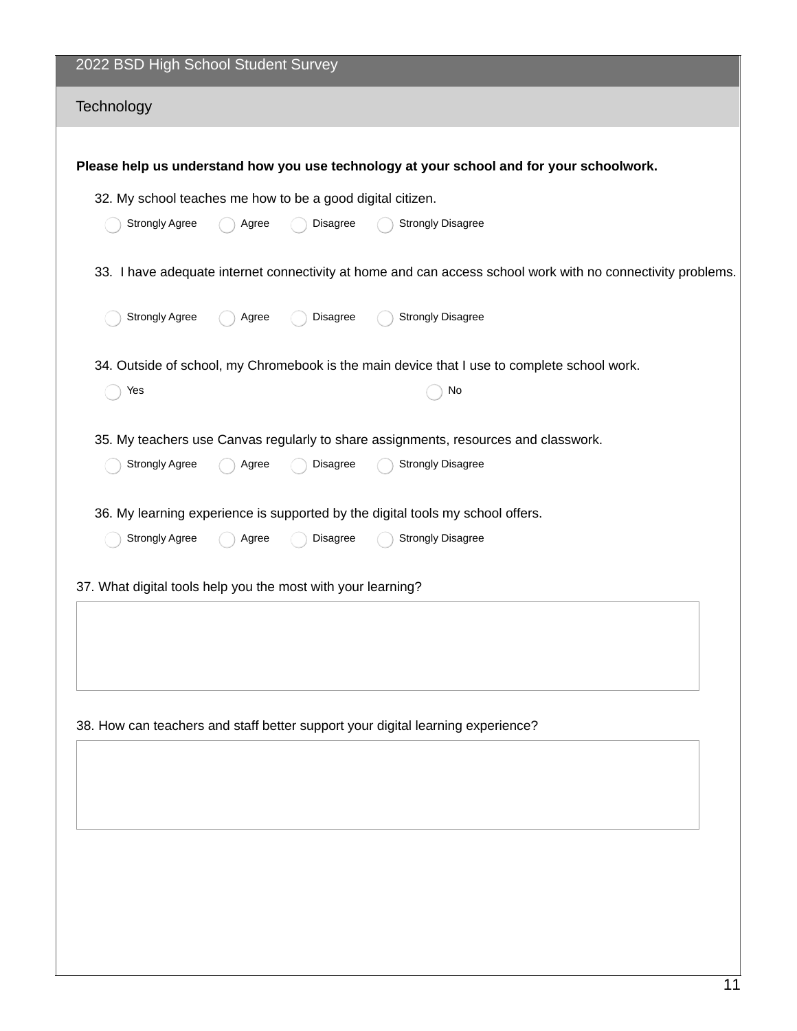| 2022 BSD High School Student Survey                                                                                                                           |  |  |  |  |  |  |
|---------------------------------------------------------------------------------------------------------------------------------------------------------------|--|--|--|--|--|--|
| Technology                                                                                                                                                    |  |  |  |  |  |  |
| Please help us understand how you use technology at your school and for your schoolwork.                                                                      |  |  |  |  |  |  |
| 32. My school teaches me how to be a good digital citizen.                                                                                                    |  |  |  |  |  |  |
| Strongly Agree<br><b>Strongly Disagree</b><br>Disagree<br>Agree                                                                                               |  |  |  |  |  |  |
| 33. I have adequate internet connectivity at home and can access school work with no connectivity problems.                                                   |  |  |  |  |  |  |
| <b>Strongly Agree</b><br><b>Strongly Disagree</b><br>Disagree<br>Agree                                                                                        |  |  |  |  |  |  |
| 34. Outside of school, my Chromebook is the main device that I use to complete school work.                                                                   |  |  |  |  |  |  |
| No<br>Yes                                                                                                                                                     |  |  |  |  |  |  |
| 35. My teachers use Canvas regularly to share assignments, resources and classwork.<br><b>Strongly Agree</b><br><b>Strongly Disagree</b><br>Disagree<br>Agree |  |  |  |  |  |  |
| 36. My learning experience is supported by the digital tools my school offers.                                                                                |  |  |  |  |  |  |
| <b>Strongly Agree</b><br><b>Strongly Disagree</b><br>Disagree<br>Agree                                                                                        |  |  |  |  |  |  |
| 37. What digital tools help you the most with your learning?                                                                                                  |  |  |  |  |  |  |
|                                                                                                                                                               |  |  |  |  |  |  |
|                                                                                                                                                               |  |  |  |  |  |  |
|                                                                                                                                                               |  |  |  |  |  |  |
| 38. How can teachers and staff better support your digital learning experience?                                                                               |  |  |  |  |  |  |
|                                                                                                                                                               |  |  |  |  |  |  |
|                                                                                                                                                               |  |  |  |  |  |  |
|                                                                                                                                                               |  |  |  |  |  |  |
|                                                                                                                                                               |  |  |  |  |  |  |
|                                                                                                                                                               |  |  |  |  |  |  |
|                                                                                                                                                               |  |  |  |  |  |  |
|                                                                                                                                                               |  |  |  |  |  |  |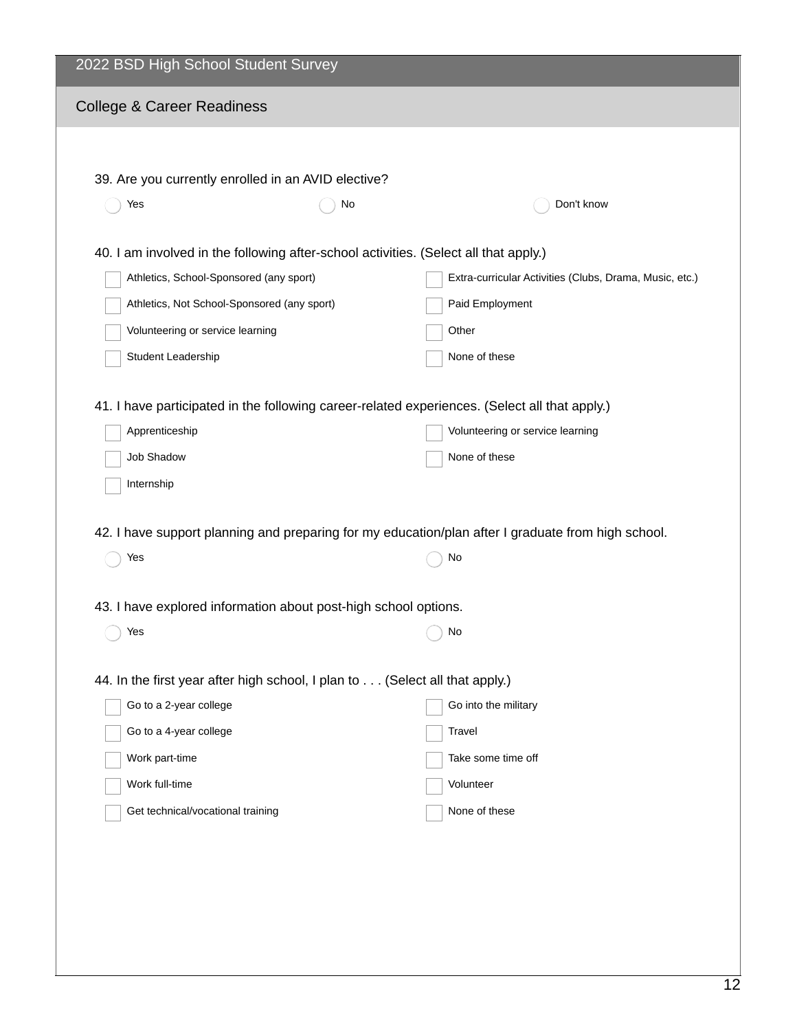| 2022 BSD High School Student Survey                                                  |    |                                                                                                    |  |  |  |
|--------------------------------------------------------------------------------------|----|----------------------------------------------------------------------------------------------------|--|--|--|
| <b>College &amp; Career Readiness</b>                                                |    |                                                                                                    |  |  |  |
|                                                                                      |    |                                                                                                    |  |  |  |
| 39. Are you currently enrolled in an AVID elective?                                  |    |                                                                                                    |  |  |  |
| Yes                                                                                  | No | Don't know                                                                                         |  |  |  |
|                                                                                      |    |                                                                                                    |  |  |  |
| 40. I am involved in the following after-school activities. (Select all that apply.) |    |                                                                                                    |  |  |  |
| Athletics, School-Sponsored (any sport)                                              |    | Extra-curricular Activities (Clubs, Drama, Music, etc.)                                            |  |  |  |
| Athletics, Not School-Sponsored (any sport)                                          |    | Paid Employment                                                                                    |  |  |  |
| Volunteering or service learning                                                     |    | Other                                                                                              |  |  |  |
| Student Leadership                                                                   |    | None of these                                                                                      |  |  |  |
|                                                                                      |    | 41. I have participated in the following career-related experiences. (Select all that apply.)      |  |  |  |
| Apprenticeship                                                                       |    | Volunteering or service learning                                                                   |  |  |  |
| Job Shadow                                                                           |    | None of these                                                                                      |  |  |  |
| Internship                                                                           |    |                                                                                                    |  |  |  |
|                                                                                      |    |                                                                                                    |  |  |  |
|                                                                                      |    | 42. I have support planning and preparing for my education/plan after I graduate from high school. |  |  |  |
| Yes                                                                                  |    | No                                                                                                 |  |  |  |
| 43. I have explored information about post-high school options.                      |    |                                                                                                    |  |  |  |
| Yes                                                                                  |    | No                                                                                                 |  |  |  |
|                                                                                      |    |                                                                                                    |  |  |  |
| 44. In the first year after high school, I plan to (Select all that apply.)          |    |                                                                                                    |  |  |  |
| Go to a 2-year college                                                               |    | Go into the military                                                                               |  |  |  |
| Go to a 4-year college                                                               |    | Travel                                                                                             |  |  |  |
| Work part-time                                                                       |    | Take some time off                                                                                 |  |  |  |
| Work full-time                                                                       |    | Volunteer                                                                                          |  |  |  |
| Get technical/vocational training                                                    |    | None of these                                                                                      |  |  |  |
|                                                                                      |    |                                                                                                    |  |  |  |
|                                                                                      |    |                                                                                                    |  |  |  |
|                                                                                      |    |                                                                                                    |  |  |  |
|                                                                                      |    |                                                                                                    |  |  |  |
|                                                                                      |    |                                                                                                    |  |  |  |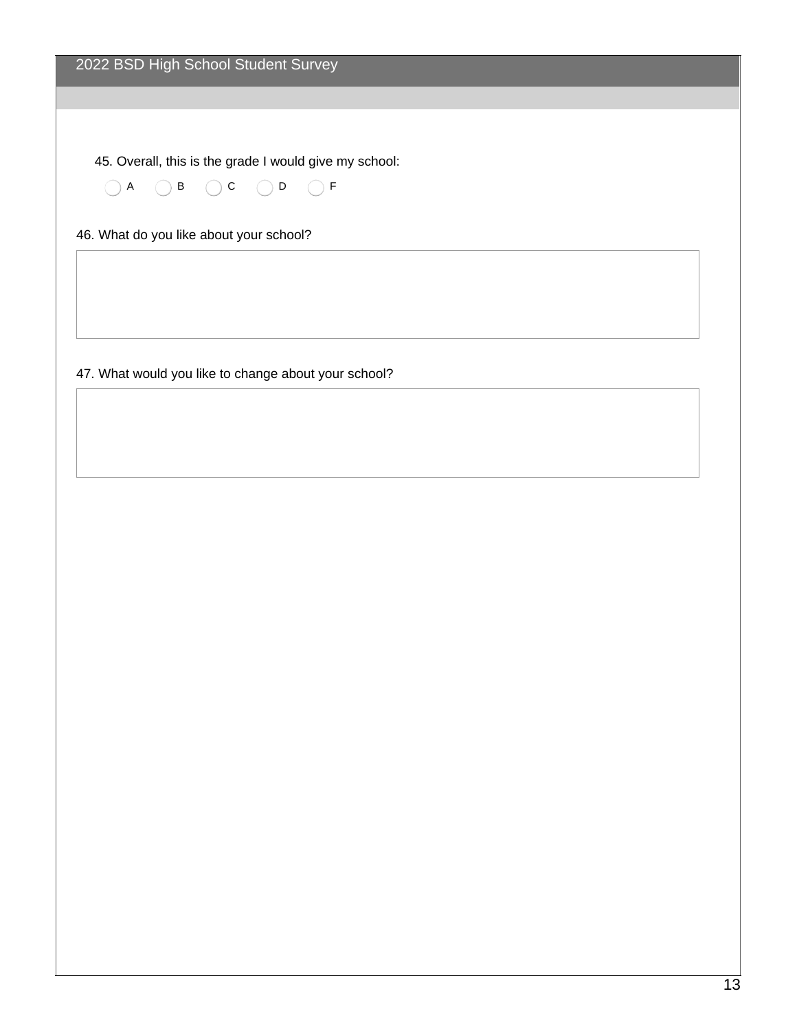45. Overall, this is the grade I would give my school:

 $(A \cap B \cap C \cap D)$ 

46. What do you like about your school?

47. What would you like to change about your school?